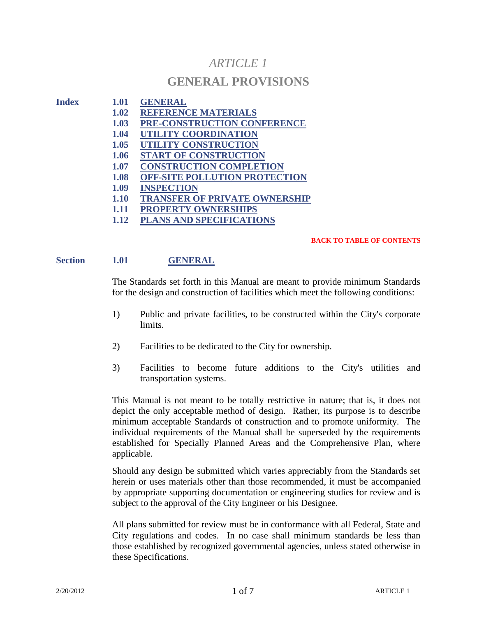# *ARTICLE 1*

## **GENERAL PROVISIONS**

- **Index 1.01 GENERAL 1.02 REFERENCE MATERIALS**
	- **1.03 PRE-CONSTRUCTION CONFERENCE**
	- **1.04 UTILITY COORDINATION**
	- **1.05 UTILITY CONSTRUCTION**
	- **1.06 START OF CONSTRUCTION**
	- **1.07 CONSTRUCTION COMPLETION**
	- **1.08 OFF-SITE POLLUTION PROTECTION**
	- **1.09 INSPECTION**
	- **1.10 TRANSFER OF PRIVATE OWNERSHIP**
	- **1.11 PROPERTY OWNERSHIPS**
	- **1.12 PLANS AND SPECIFICATIONS**

#### **BACK TO TABLE OF CONTENTS**

## **Section 1.01 GENERAL**

The Standards set forth in this Manual are meant to provide minimum Standards for the design and construction of facilities which meet the following conditions:

- 1) Public and private facilities, to be constructed within the City's corporate limits.
- 2) Facilities to be dedicated to the City for ownership.
- 3) Facilities to become future additions to the City's utilities and transportation systems.

This Manual is not meant to be totally restrictive in nature; that is, it does not depict the only acceptable method of design. Rather, its purpose is to describe minimum acceptable Standards of construction and to promote uniformity. The individual requirements of the Manual shall be superseded by the requirements established for Specially Planned Areas and the Comprehensive Plan, where applicable.

Should any design be submitted which varies appreciably from the Standards set herein or uses materials other than those recommended, it must be accompanied by appropriate supporting documentation or engineering studies for review and is subject to the approval of the City Engineer or his Designee.

All plans submitted for review must be in conformance with all Federal, State and City regulations and codes. In no case shall minimum standards be less than those established by recognized governmental agencies, unless stated otherwise in these Specifications.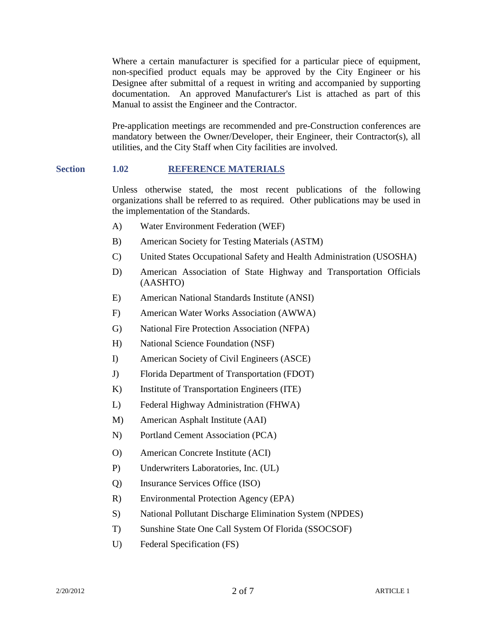Where a certain manufacturer is specified for a particular piece of equipment, non-specified product equals may be approved by the City Engineer or his Designee after submittal of a request in writing and accompanied by supporting documentation. An approved Manufacturer's List is attached as part of this Manual to assist the Engineer and the Contractor.

Pre-application meetings are recommended and pre-Construction conferences are mandatory between the Owner/Developer, their Engineer, their Contractor(s), all utilities, and the City Staff when City facilities are involved.

## **Section 1.02 REFERENCE MATERIALS**

Unless otherwise stated, the most recent publications of the following organizations shall be referred to as required. Other publications may be used in the implementation of the Standards.

- A) Water Environment Federation (WEF)
- B) American Society for Testing Materials (ASTM)
- C) United States Occupational Safety and Health Administration (USOSHA)
- D) American Association of State Highway and Transportation Officials (AASHTO)
- E) American National Standards Institute (ANSI)
- F) American Water Works Association (AWWA)
- G) National Fire Protection Association (NFPA)
- H) National Science Foundation (NSF)
- I) American Society of Civil Engineers (ASCE)
- J) Florida Department of Transportation (FDOT)
- K) Institute of Transportation Engineers (ITE)
- L) Federal Highway Administration (FHWA)
- M) American Asphalt Institute (AAI)
- N) Portland Cement Association (PCA)
- O) American Concrete Institute (ACI)
- P) Underwriters Laboratories, Inc. (UL)
- Q) Insurance Services Office (ISO)
- R) Environmental Protection Agency (EPA)
- S) National Pollutant Discharge Elimination System (NPDES)
- T) Sunshine State One Call System Of Florida (SSOCSOF)
- U) Federal Specification (FS)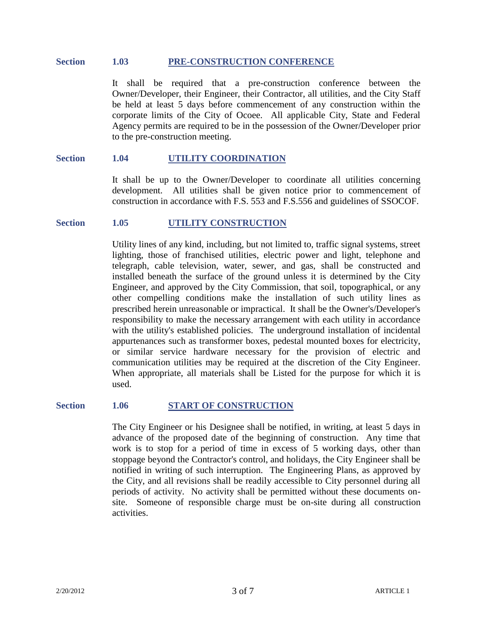#### **Section 1.03 PRE-CONSTRUCTION CONFERENCE**

It shall be required that a pre-construction conference between the Owner/Developer, their Engineer, their Contractor, all utilities, and the City Staff be held at least 5 days before commencement of any construction within the corporate limits of the City of Ocoee. All applicable City, State and Federal Agency permits are required to be in the possession of the Owner/Developer prior to the pre-construction meeting.

#### **Section 1.04 UTILITY COORDINATION**

It shall be up to the Owner/Developer to coordinate all utilities concerning development. All utilities shall be given notice prior to commencement of construction in accordance with F.S. 553 and F.S.556 and guidelines of SSOCOF.

#### **Section 1.05 UTILITY CONSTRUCTION**

Utility lines of any kind, including, but not limited to, traffic signal systems, street lighting, those of franchised utilities, electric power and light, telephone and telegraph, cable television, water, sewer, and gas, shall be constructed and installed beneath the surface of the ground unless it is determined by the City Engineer, and approved by the City Commission, that soil, topographical, or any other compelling conditions make the installation of such utility lines as prescribed herein unreasonable or impractical. It shall be the Owner's/Developer's responsibility to make the necessary arrangement with each utility in accordance with the utility's established policies. The underground installation of incidental appurtenances such as transformer boxes, pedestal mounted boxes for electricity, or similar service hardware necessary for the provision of electric and communication utilities may be required at the discretion of the City Engineer. When appropriate, all materials shall be Listed for the purpose for which it is used.

#### **Section 1.06 START OF CONSTRUCTION**

The City Engineer or his Designee shall be notified, in writing, at least 5 days in advance of the proposed date of the beginning of construction. Any time that work is to stop for a period of time in excess of 5 working days, other than stoppage beyond the Contractor's control, and holidays, the City Engineer shall be notified in writing of such interruption. The Engineering Plans, as approved by the City, and all revisions shall be readily accessible to City personnel during all periods of activity. No activity shall be permitted without these documents onsite. Someone of responsible charge must be on-site during all construction activities.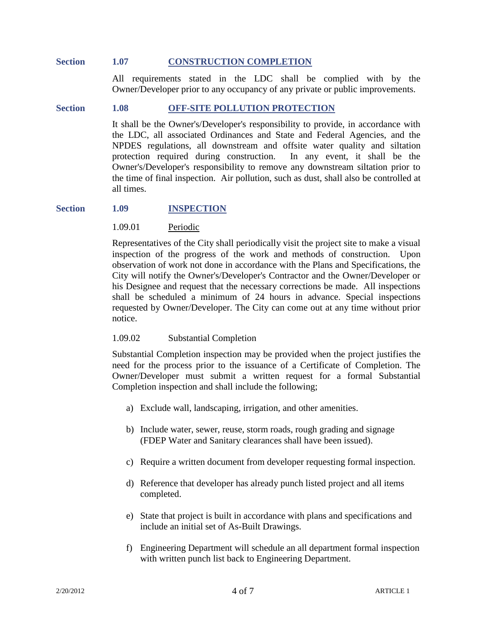#### **Section 1.07 CONSTRUCTION COMPLETION**

All requirements stated in the LDC shall be complied with by the Owner/Developer prior to any occupancy of any private or public improvements.

#### **Section 1.08 OFF-SITE POLLUTION PROTECTION**

It shall be the Owner's/Developer's responsibility to provide, in accordance with the LDC, all associated Ordinances and State and Federal Agencies, and the NPDES regulations, all downstream and offsite water quality and siltation protection required during construction. In any event, it shall be the Owner's/Developer's responsibility to remove any downstream siltation prior to the time of final inspection. Air pollution, such as dust, shall also be controlled at all times.

## **Section 1.09 INSPECTION**

#### 1.09.01 Periodic

Representatives of the City shall periodically visit the project site to make a visual inspection of the progress of the work and methods of construction. Upon observation of work not done in accordance with the Plans and Specifications, the City will notify the Owner's/Developer's Contractor and the Owner/Developer or his Designee and request that the necessary corrections be made. All inspections shall be scheduled a minimum of 24 hours in advance. Special inspections requested by Owner/Developer. The City can come out at any time without prior notice.

#### 1.09.02 Substantial Completion

Substantial Completion inspection may be provided when the project justifies the need for the process prior to the issuance of a Certificate of Completion. The Owner/Developer must submit a written request for a formal Substantial Completion inspection and shall include the following;

- a) Exclude wall, landscaping, irrigation, and other amenities.
- b) Include water, sewer, reuse, storm roads, rough grading and signage (FDEP Water and Sanitary clearances shall have been issued).
- c) Require a written document from developer requesting formal inspection.
- d) Reference that developer has already punch listed project and all items completed.
- e) State that project is built in accordance with plans and specifications and include an initial set of As-Built Drawings.
- f) Engineering Department will schedule an all department formal inspection with written punch list back to Engineering Department.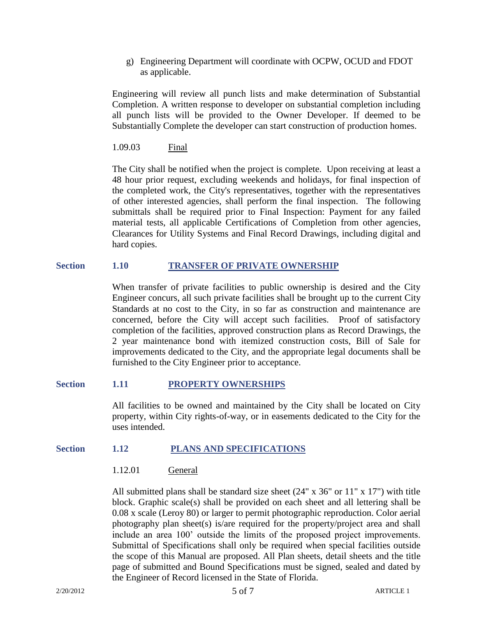g) Engineering Department will coordinate with OCPW, OCUD and FDOT as applicable.

Engineering will review all punch lists and make determination of Substantial Completion. A written response to developer on substantial completion including all punch lists will be provided to the Owner Developer. If deemed to be Substantially Complete the developer can start construction of production homes.

1.09.03 Final

The City shall be notified when the project is complete. Upon receiving at least a 48 hour prior request, excluding weekends and holidays, for final inspection of the completed work, the City's representatives, together with the representatives of other interested agencies, shall perform the final inspection. The following submittals shall be required prior to Final Inspection: Payment for any failed material tests, all applicable Certifications of Completion from other agencies, Clearances for Utility Systems and Final Record Drawings, including digital and hard copies.

## **Section 1.10 TRANSFER OF PRIVATE OWNERSHIP**

When transfer of private facilities to public ownership is desired and the City Engineer concurs, all such private facilities shall be brought up to the current City Standards at no cost to the City, in so far as construction and maintenance are concerned, before the City will accept such facilities. Proof of satisfactory completion of the facilities, approved construction plans as Record Drawings, the 2 year maintenance bond with itemized construction costs, Bill of Sale for improvements dedicated to the City, and the appropriate legal documents shall be furnished to the City Engineer prior to acceptance.

## **Section 1.11 PROPERTY OWNERSHIPS**

All facilities to be owned and maintained by the City shall be located on City property, within City rights-of-way, or in easements dedicated to the City for the uses intended.

## **Section 1.12 PLANS AND SPECIFICATIONS**

## 1.12.01 General

All submitted plans shall be standard size sheet (24" x 36" or 11" x 17") with title block. Graphic scale(s) shall be provided on each sheet and all lettering shall be 0.08 x scale (Leroy 80) or larger to permit photographic reproduction. Color aerial photography plan sheet(s) is/are required for the property/project area and shall include an area 100' outside the limits of the proposed project improvements. Submittal of Specifications shall only be required when special facilities outside the scope of this Manual are proposed. All Plan sheets, detail sheets and the title page of submitted and Bound Specifications must be signed, sealed and dated by the Engineer of Record licensed in the State of Florida.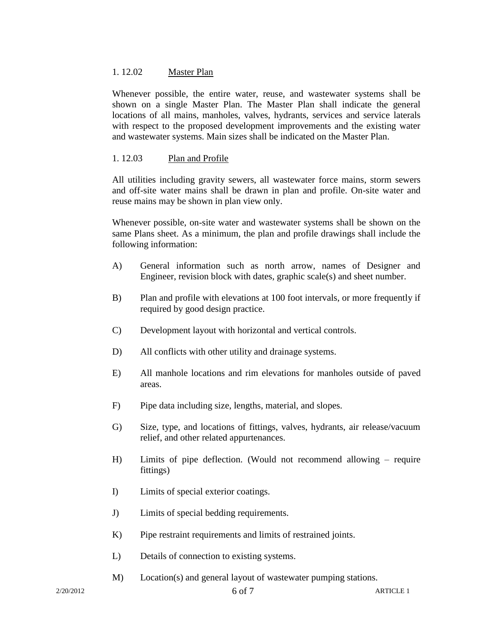## 1. 12.02 Master Plan

Whenever possible, the entire water, reuse, and wastewater systems shall be shown on a single Master Plan. The Master Plan shall indicate the general locations of all mains, manholes, valves, hydrants, services and service laterals with respect to the proposed development improvements and the existing water and wastewater systems. Main sizes shall be indicated on the Master Plan.

## 1. 12.03 Plan and Profile

All utilities including gravity sewers, all wastewater force mains, storm sewers and off-site water mains shall be drawn in plan and profile. On-site water and reuse mains may be shown in plan view only.

Whenever possible, on-site water and wastewater systems shall be shown on the same Plans sheet. As a minimum, the plan and profile drawings shall include the following information:

- A) General information such as north arrow, names of Designer and Engineer, revision block with dates, graphic scale(s) and sheet number.
- B) Plan and profile with elevations at 100 foot intervals, or more frequently if required by good design practice.
- C) Development layout with horizontal and vertical controls.
- D) All conflicts with other utility and drainage systems.
- E) All manhole locations and rim elevations for manholes outside of paved areas.
- F) Pipe data including size, lengths, material, and slopes.
- G) Size, type, and locations of fittings, valves, hydrants, air release/vacuum relief, and other related appurtenances.
- H) Limits of pipe deflection. (Would not recommend allowing require fittings)
- I) Limits of special exterior coatings.
- J) Limits of special bedding requirements.
- K) Pipe restraint requirements and limits of restrained joints.
- L) Details of connection to existing systems.
- M) Location(s) and general layout of wastewater pumping stations.